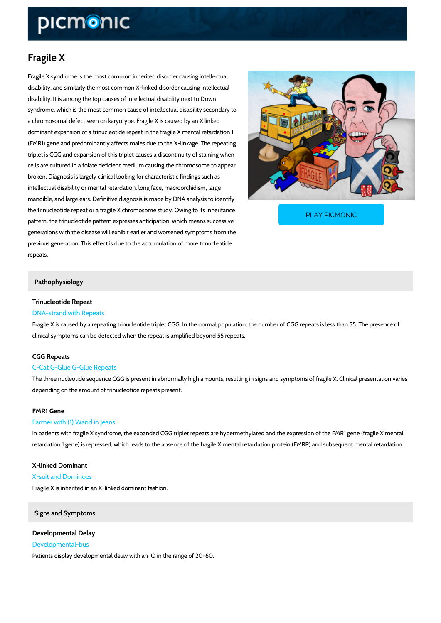# Fragile X

Fragile X syndrome is the most common inherited disorder causing intellectual disability, and similarly the most common X-linked disorder causing intellectual disability. It is among the top causes of intellectual disability next to Down syndrome, which is the most common cause of intellectual disability secondary to a chromosomal defect seen on karyotype. Fragile X is caused by an X linked dominant expansion of a trinucleotide repeat in the fragile X mental retardation 1 (FMR1) gene and predominantly affects males due to the X-linkage. The repeating triplet is CGG and expansion of this triplet causes a discontinuity of staining when cells are cultured in a folate deficient medium causing the chromosome to appear broken. Diagnosis is largely clinical looking for characteristic findings such as intellectual disability or mental retardation, long face, macroorchidism, large mandible, and large ears. Definitive diagnosis is made by DNA analysis to identify the trinucleotide repeat or a fragile X chromosome study. PLAY PICMONIC

pattern, the trinucleotide pattern expresses anticipation, generations with the disease will exhibit earlier and worsened symptoms from the previous generation. This effect is due to the accumulation of more trinucleotide

repeats.

## Pathophysiology

## Trinucleotide Repeat

## DNA-strand with Repeats

Fragile X is caused by a repeating trinucleotide triplet CGG. In the normal population, the num clinical symptoms can be detected when the repeat is amplified beyond 55 repeats.

#### CGG Repeats

## C-Cat G-Glue G-Glue Repeats

The three nucleotide sequence CGG is present in abnormally high amounts, resulting in signs depending on the amount of trinucleotide repeats present.

## FMR1 Gene

#### Farmer with (1) Wand in Jeans

In patients with fragile X syndrome, the expanded CGG triplet repeats are hypermethylated an retardation 1 gene) is repressed, which leads to the absence of the fragile X mental retardati

## X-linked Dominant

#### X-suit and Dominoes

Fragile X is inherited in an X-linked dominant fashion.

## Signs and Symptoms

Developmental Delay Developmental-bus Patients display developmental delay with an IQ in the range of 20-60.